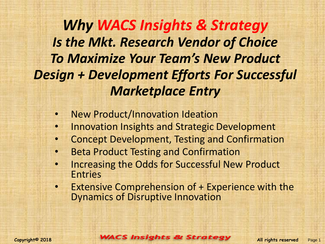*Why WACS Insights & Strategy Is the Mkt. Research Vendor of Choice To Maximize Your Team's New Product Design + Development Efforts For Successful Marketplace Entry*

- New Product/Innovation Ideation
- Innovation Insights and Strategic Development
- Concept Development, Testing and Confirmation
- Beta Product Testing and Confirmation
- Increasing the Odds for Successful New Product Entries
- **Extensive Comprehension of + Experience with the** Dynamics of Disruptive Innovation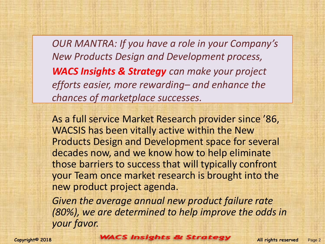*OUR MANTRA: If you have a role in your Company's New Products Design and Development process, WACS Insights & Strategy can make your project efforts easier, more rewarding– and enhance the chances of marketplace successes.* 

As a full service Market Research provider since '86, WACSIS has been vitally active within the New Products Design and Development space for several decades now, and we know how to help eliminate those barriers to success that will typically confront your Team once market research is brought into the new product project agenda.

*Given the average annual new product failure rate (80%), we are determined to help improve the odds in your favor.*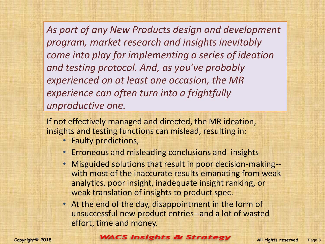*As part of any New Products design and development program, market research and insights inevitably come into play for implementing a series of ideation and testing protocol. And, as you've probably experienced on at least one occasion, the MR experience can often turn into a frightfully unproductive one.* 

If not effectively managed and directed, the MR ideation, insights and testing functions can mislead, resulting in:

- Faulty predictions,
- Erroneous and misleading conclusions and insights
- Misguided solutions that result in poor decision-making- with most of the inaccurate results emanating from weak analytics, poor insight, inadequate insight ranking, or weak translation of insights to product spec.
- At the end of the day, disappointment in the form of unsuccessful new product entries--and a lot of wasted effort, time and money.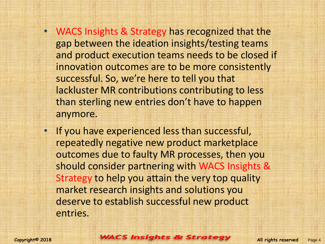- WACS Insights & Strategy has recognized that the gap between the ideation insights/testing teams and product execution teams needs to be closed if innovation outcomes are to be more consistently successful. So, we're here to tell you that lackluster MR contributions contributing to less than sterling new entries don't have to happen anymore.
- If you have experienced less than successful, repeatedly negative new product marketplace outcomes due to faulty MR processes, then you should consider partnering with WACS Insights & Strategy to help you attain the very top quality market research insights and solutions you deserve to establish successful new product entries.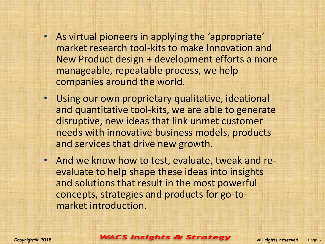- As virtual pioneers in applying the 'appropriate' market research tool-kits to make Innovation and New Product design + development efforts a more manageable, repeatable process, we help companies around the world.
- Using our own proprietary qualitative, ideational and quantitative tool-kits, we are able to generate disruptive, new ideas that link unmet customer needs with innovative business models, products and services that drive new growth.
- And we know how to test, evaluate, tweak and reevaluate to help shape these ideas into insights and solutions that result in the most powerful concepts, strategies and products for go-tomarket introduction.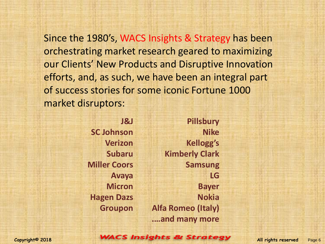Since the 1980's, WACS Insights & Strategy has been orchestrating market research geared to maximizing our Clients' New Products and Disruptive Innovation efforts, and, as such, we have been an integral part of success stories for some iconic Fortune 1000 market disruptors:

> **J&J SC Johnson Verizon Subaru Miller Coors Avaya Micron Hagen Dazs Groupon**

**Pillsbury Nike Kellogg's Kimberly Clark Samsung LG Bayer Nokia Alfa Romeo (Italy) .…and many more**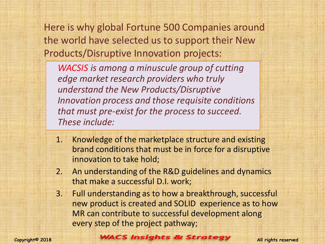Here is why global Fortune 500 Companies around the world have selected us to support their New Products/Disruptive Innovation projects:

*WACSIS is among a minuscule group of cutting edge market research providers who truly understand the New Products/Disruptive Innovation process and those requisite conditions that must pre-exist for the process to succeed. These include:*

- 1. Knowledge of the marketplace structure and existing brand conditions that must be in force for a disruptive innovation to take hold;
- 2. An understanding of the R&D guidelines and dynamics that make a successful D.I. work;
- 3. Full understanding as to how a breakthrough, successful new product is created and SOLID experience as to how MR can contribute to successful development along every step of the project pathway;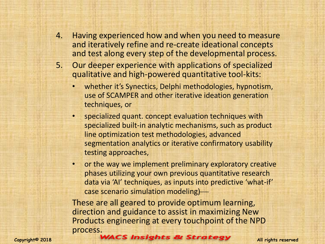- 4. Having experienced how and when you need to measure and iteratively refine and re-create ideational concepts and test along every step of the developmental process.
- 5. Our deeper experience with applications of specialized qualitative and high-powered quantitative tool-kits:
	- whether it's Synectics, Delphi methodologies, hypnotism, use of SCAMPER and other iterative ideation generation techniques, or
	- specialized quant. concept evaluation techniques with specialized built-in analytic mechanisms, such as product line optimization test methodologies, advanced segmentation analytics or iterative confirmatory usability testing approaches,
	- or the way we implement preliminary exploratory creative phases utilizing your own previous quantitative research data via 'AI' techniques, as inputs into predictive 'what-if' case scenario simulation modeling)

These are all geared to provide optimum learning, direction and guidance to assist in maximizing New Products engineering at every touchpoint of the NPD process.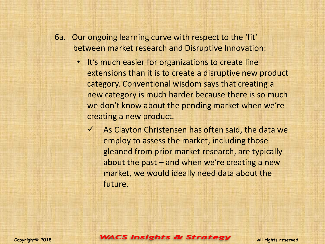- 6a. Our ongoing learning curve with respect to the 'fit' between market research and Disruptive Innovation:
	- It's much easier for organizations to create line extensions than it is to create a disruptive new product category. Conventional wisdom says that creating a new category is much harder because there is so much we don't know about the pending market when we're creating a new product.
		- $\checkmark$  As Clayton Christensen has often said, the data we employ to assess the market, including those gleaned from prior market research, are typically about the past – and when we're creating a new market, we would ideally need data about the future.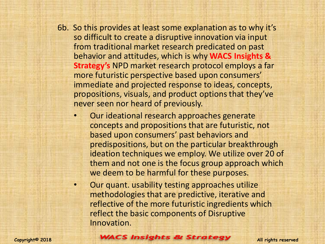- 6b. So this provides at least some explanation as to why it's so difficult to create a disruptive innovation via input from traditional market research predicated on past behavior and attitudes, which is why **WACS Insights & Strategy's** NPD market research protocol employs a far more futuristic perspective based upon consumers' immediate and projected response to ideas, concepts, propositions, visuals, and product options that they've never seen nor heard of previously.
	- Our ideational research approaches generate concepts and propositions that are futuristic, not based upon consumers' past behaviors and predispositions, but on the particular breakthrough ideation techniques we employ. We utilize over 20 of them and not one is the focus group approach which we deem to be harmful for these purposes.
	- Our quant. usability testing approaches utilize methodologies that are predictive, iterative and reflective of the more futuristic ingredients which reflect the basic components of Disruptive Innovation.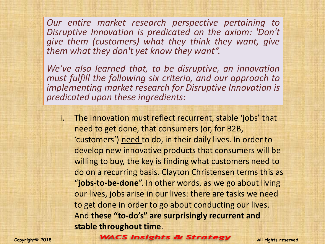*Our entire market research perspective pertaining to Disruptive Innovation is predicated on the axiom: 'Don't give them (customers) what they think they want, give them what they don't yet know they want".*

*We've also learned that, to be disruptive, an innovation must fulfill the following six criteria, and our approach to implementing market research for Disruptive Innovation is predicated upon these ingredients:*

i. The innovation must reflect recurrent, stable 'jobs' that need to get done, that consumers (or, for B2B, 'customers') need to do, in their daily lives. In order to develop new innovative products that consumers will be willing to buy, the key is finding what customers need to do on a recurring basis. Clayton Christensen terms this as "**jobs-to-be-done**". In other words, as we go about living our lives, jobs arise in our lives: there are tasks we need to get done in order to go about conducting our lives. And **these "to-do's" are surprisingly recurrent and stable throughout time**.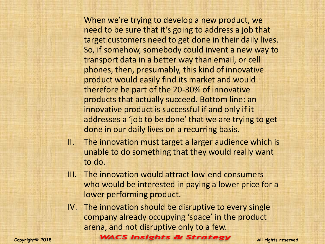When we're trying to develop a new product, we need to be sure that it's going to address a job that target customers need to get done in their daily lives. So, if somehow, somebody could invent a new way to transport data in a better way than email, or cell phones, then, presumably, this kind of innovative product would easily find its market and would therefore be part of the 20-30% of innovative products that actually succeed. Bottom line: an innovative product is successful if and only if it addresses a 'job to be done' that we are trying to get done in our daily lives on a recurring basis.

- II. The innovation must target a larger audience which is unable to do something that they would really want to do.
- III. The innovation would attract low-end consumers who would be interested in paying a lower price for a lower performing product.
- IV. The innovation should be disruptive to every single company already occupying 'space' in the product arena, and not disruptive only to a few.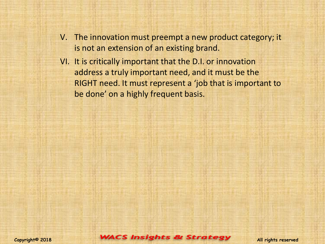- V. The innovation must preempt a new product category; it is not an extension of an existing brand.
- VI. It is critically important that the D.I. or innovation address a truly important need, and it must be the RIGHT need. It must represent a 'job that is important to be done' on a highly frequent basis.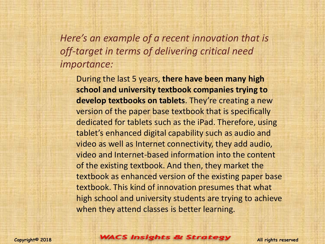*Here's an example of a recent innovation that is off-target in terms of delivering critical need importance:*

During the last 5 years, **there have been many high school and university textbook companies trying to develop textbooks on tablets**. They're creating a new version of the paper base textbook that is specifically dedicated for tablets such as the iPad. Therefore, using tablet's enhanced digital capability such as audio and video as well as Internet connectivity, they add audio, video and Internet-based information into the content of the existing textbook. And then, they market the textbook as enhanced version of the existing paper base textbook. This kind of innovation presumes that what high school and university students are trying to achieve when they attend classes is better learning.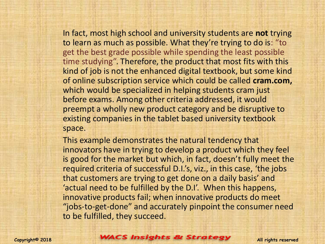In fact, most high school and university students are **not** trying to learn as much as possible. What they're trying to do is: "to get the best grade possible while spending the least possible time studying". Therefore, the product that most fits with this kind of job is not the enhanced digital textbook, but some kind of online subscription service which could be called **cram.com,** which would be specialized in helping students cram just before exams. Among other criteria addressed, it would preempt a wholly new product category and be disruptive to existing companies in the tablet based university textbook space.

This example demonstrates the natural tendency that innovators have in trying to develop a product which they feel is good for the market but which, in fact, doesn't fully meet the required criteria of successful D.I.'s, viz., in this case, 'the jobs that customers are trying to get done on a daily basis' and 'actual need to be fulfilled by the D.I'. When this happens, innovative products fail; when innovative products do meet "jobs-to-get-done" and accurately pinpoint the consumer need to be fulfilled, they succeed.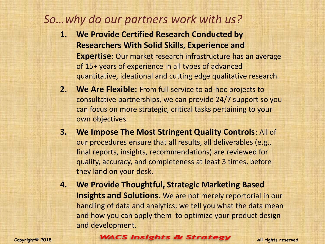## *So…why do our partners work with us?*

- **1. We Provide Certified Research Conducted by Researchers With Solid Skills, Experience and Expertise**: Our market research infrastructure has an average of 15+ years of experience in all types of advanced quantitative, ideational and cutting edge qualitative research.
- **2. We Are Flexible:** From full service to ad-hoc projects to consultative partnerships, we can provide 24/7 support so you can focus on more strategic, critical tasks pertaining to your own objectives.
- **3. We Impose The Most Stringent Quality Controls**: All of our procedures ensure that all results, all deliverables (e.g., final reports, insights, recommendations) are reviewed for quality, accuracy, and completeness at least 3 times, before they land on your desk.
- **4. We Provide Thoughtful, Strategic Marketing Based Insights and Solutions**. We are not merely reportorial in our handling of data and analytics; we tell you what the data mean and how you can apply them to optimize your product design and development.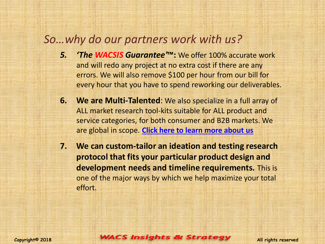## *So…why do our partners work with us?*

- *5. 'The WACSIS Guarantee'***™:** We offer 100% accurate work and will redo any project at no extra cost if there are any errors. We will also remove \$100 per hour from our bill for every hour that you have to spend reworking our deliverables.
- **6. We are Multi-Talented**: We also specialize in a full array of ALL market research tool-kits suitable for ALL product and service categories, for both consumer and B2B markets. We are global in scope. **[Click here to learn more about us](http://wacsurvey.com/websiteversion.pdf)**
- **7. We can custom-tailor an ideation and testing research protocol that fits your particular product design and development needs and timeline requirements.** This is one of the major ways by which we help maximize your total effort.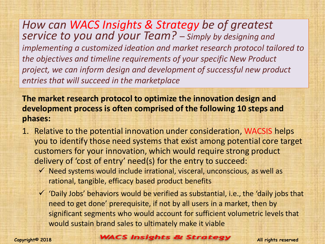*How can WACS Insights & Strategy be of greatest service to you and your Team? – Simply by designing and implementing a customized ideation and market research protocol tailored to the objectives and timeline requirements of your specific New Product project, we can inform design and development of successful new product entries that will succeed in the marketplace*

**The market research protocol to optimize the innovation design and development process is often comprised of the following 10 steps and phases:**

- 1. Relative to the potential innovation under consideration, WACSIS helps you to identify those need systems that exist among potential core target customers for your innovation, which would require strong product delivery of 'cost of entry' need(s) for the entry to succeed:
	- $\checkmark$  Need systems would include irrational, visceral, unconscious, as well as rational, tangible, efficacy based product benefits
	- $\checkmark$  'Daily Jobs' behaviors would be verified as substantial, i.e., the 'daily jobs that need to get done' prerequisite, if not by all users in a market, then by significant segments who would account for sufficient volumetric levels that would sustain brand sales to ultimately make it viable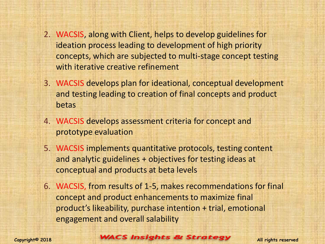- 2. WACSIS, along with Client, helps to develop guidelines for ideation process leading to development of high priority concepts, which are subjected to multi-stage concept testing with iterative creative refinement
- 3. WACSIS develops plan for ideational, conceptual development and testing leading to creation of final concepts and product betas
- 4. WACSIS develops assessment criteria for concept and prototype evaluation
- 5. WACSIS implements quantitative protocols, testing content and analytic guidelines + objectives for testing ideas at conceptual and products at beta levels
- 6. WACSIS, from results of 1-5, makes recommendations for final concept and product enhancements to maximize final product's likeability, purchase intention + trial, emotional engagement and overall salability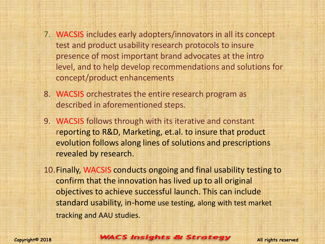- 7. WACSIS includes early adopters/innovators in all its concept test and product usability research protocols to insure presence of most important brand advocates at the intro level, and to help develop recommendations and solutions for concept/product enhancements
- 8. WACSIS orchestrates the entire research program as described in aforementioned steps.
- 9. WACSIS follows through with its iterative and constant reporting to R&D, Marketing, et.al. to insure that product evolution follows along lines of solutions and prescriptions revealed by research.
- 10.Finally, WACSIS conducts ongoing and final usability testing to confirm that the innovation has lived up to all original objectives to achieve successful launch. This can include standard usability, in-home use testing, along with test market tracking and AAU studies.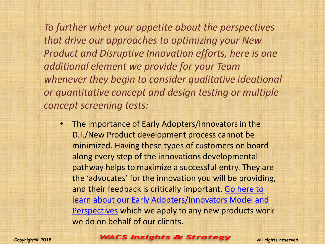*To further whet your appetite about the perspectives that drive our approaches to optimizing your New Product and Disruptive Innovation efforts, here is one additional element we provide for your Team whenever they begin to consider qualitative ideational or quantitative concept and design testing or multiple concept screening tests:*

• The importance of Early Adopters/Innovators in the D.I./New Product development process cannot be minimized. Having these types of customers on board along every step of the innovations developmental pathway helps to maximize a successful entry. They are the 'advocates' for the innovation you will be providing, and their feedback is critically important. [Go here to](http://tinyurl.com/y7tfg8wk)  [learn about our Early Adopters/Innovators Model and](http://tinyurl.com/y7tfg8wk)  [Perspectives](http://tinyurl.com/y7tfg8wk) which we apply to any new products work we do on behalf of our clients.